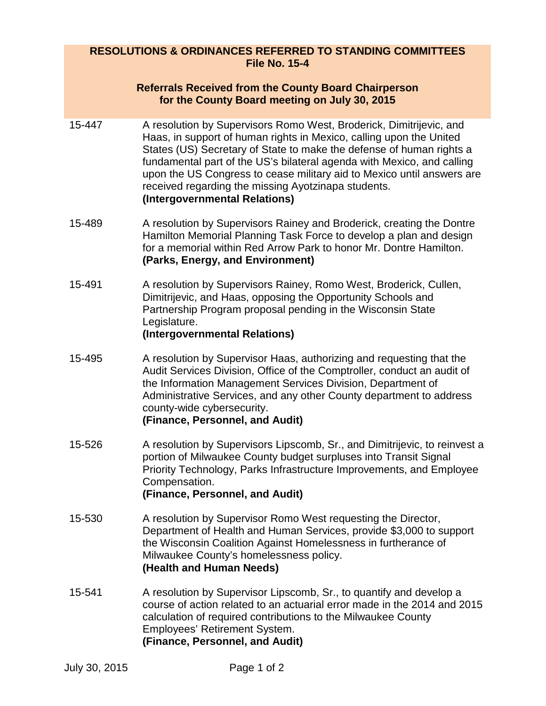## **RESOLUTIONS & ORDINANCES REFERRED TO STANDING COMMITTEES File No. 15-4**

## **Referrals Received from the County Board Chairperson for the County Board meeting on July 30, 2015**

- 15-447 A resolution by Supervisors Romo West, Broderick, Dimitrijevic, and Haas, in support of human rights in Mexico, calling upon the United States (US) Secretary of State to make the defense of human rights a fundamental part of the US's bilateral agenda with Mexico, and calling upon the US Congress to cease military aid to Mexico until answers are received regarding the missing Ayotzinapa students. **(Intergovernmental Relations)**
- 15-489 A resolution by Supervisors Rainey and Broderick, creating the Dontre Hamilton Memorial Planning Task Force to develop a plan and design for a memorial within Red Arrow Park to honor Mr. Dontre Hamilton. **(Parks, Energy, and Environment)**
- 15-491 A resolution by Supervisors Rainey, Romo West, Broderick, Cullen, Dimitrijevic, and Haas, opposing the Opportunity Schools and Partnership Program proposal pending in the Wisconsin State Legislature.

## **(Intergovernmental Relations)**

- 15-495 A resolution by Supervisor Haas, authorizing and requesting that the Audit Services Division, Office of the Comptroller, conduct an audit of the Information Management Services Division, Department of Administrative Services, and any other County department to address county-wide cybersecurity. **(Finance, Personnel, and Audit)**
- 15-526 A resolution by Supervisors Lipscomb, Sr., and Dimitrijevic, to reinvest a portion of Milwaukee County budget surpluses into Transit Signal Priority Technology, Parks Infrastructure Improvements, and Employee Compensation. **(Finance, Personnel, and Audit)**
- 15-530 A resolution by Supervisor Romo West requesting the Director, Department of Health and Human Services, provide \$3,000 to support the Wisconsin Coalition Against Homelessness in furtherance of Milwaukee County's homelessness policy. **(Health and Human Needs)**
- 15-541 A resolution by Supervisor Lipscomb, Sr., to quantify and develop a course of action related to an actuarial error made in the 2014 and 2015 calculation of required contributions to the Milwaukee County Employees' Retirement System. **(Finance, Personnel, and Audit)**